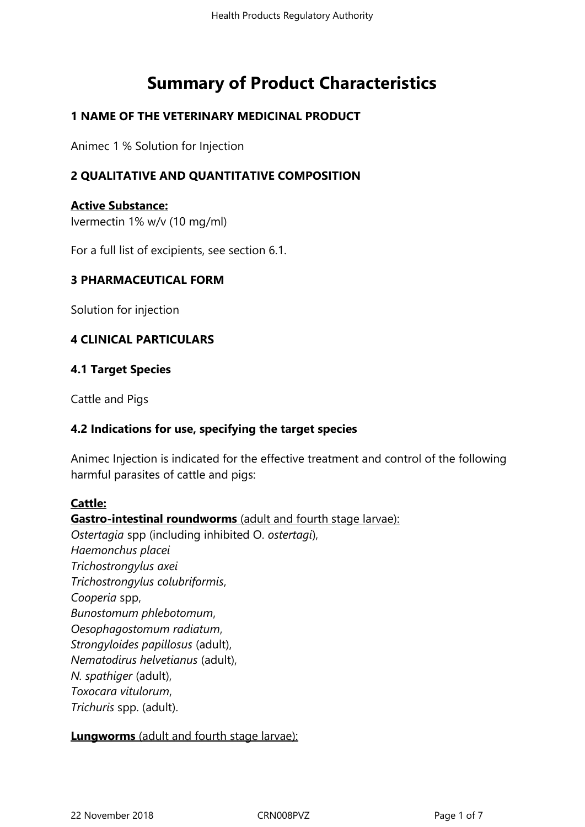# **Summary of Product Characteristics**

## **1 NAME OF THE VETERINARY MEDICINAL PRODUCT**

Animec 1 % Solution for Injection

# **2 QUALITATIVE AND QUANTITATIVE COMPOSITION**

**Active Substance:** Ivermectin 1% w/v (10 mg/ml)

For a full list of excipients, see section 6.1.

#### **3 PHARMACEUTICAL FORM**

Solution for injection

#### **4 CLINICAL PARTICULARS**

#### **4.1 Target Species**

Cattle and Pigs

#### **4.2 Indications for use, specifying the target species**

Animec Injection is indicated for the effective treatment and control of the following harmful parasites of cattle and pigs:

#### **Cattle:**

#### **Gastro-intestinal roundworms** (adult and fourth stage larvae):

*Ostertagia* spp (including inhibited O. *ostertagi*), *Haemonchus placei Trichostrongylus axei Trichostrongylus colubriformis*, *Cooperia* spp, *Bunostomum phlebotomum*, *Oesophagostomum radiatum*, *Strongyloides papillosus* (adult), *Nematodirus helvetianus* (adult), *N. spathiger* (adult), *Toxocara vitulorum*, *Trichuris* spp. (adult).

#### **Lungworms** (adult and fourth stage larvae):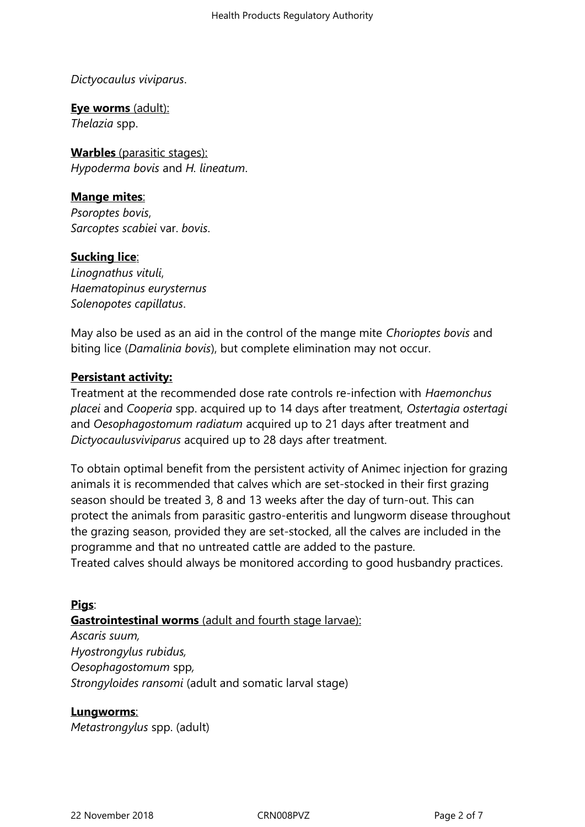*Dictyocaulus viviparus*.

**Eye worms** (adult): *Thelazia* spp.

**Warbles** (parasitic stages): *Hypoderma bovis* and *H. lineatum*.

# **Mange mites**:

*Psoroptes bovis*, *Sarcoptes scabiei* var. *bovis*.

## **Sucking lice**:

*Linognathus vituli*, *Haematopinus eurysternus Solenopotes capillatus*.

May also be used as an aid in the control of the mange mite *Chorioptes bovis* and biting lice (*Damalinia bovis*), but complete elimination may not occur.

#### **Persistant activity:**

Treatment at the recommended dose rate controls re-infection with *Haemonchus placei* and *Cooperia* spp. acquired up to 14 days after treatment, *Ostertagia ostertagi* and *Oesophagostomum radiatum* acquired up to 21 days after treatment and *Dictyocaulusviviparus* acquired up to 28 days after treatment.

To obtain optimal benefit from the persistent activity of Animec injection for grazing animals it is recommended that calves which are set-stocked in their first grazing season should be treated 3, 8 and 13 weeks after the day of turn-out. This can protect the animals from parasitic gastro-enteritis and lungworm disease throughout the grazing season, provided they are set-stocked, all the calves are included in the programme and that no untreated cattle are added to the pasture.

Treated calves should always be monitored according to good husbandry practices.

## **Pigs**:

#### **Gastrointestinal worms** (adult and fourth stage larvae):

*Ascaris suum, Hyostrongylus rubidus, Oesophagostomum* spp*, Strongyloides ransomi* (adult and somatic larval stage)

#### **Lungworms**:

*Metastrongylus* spp. (adult)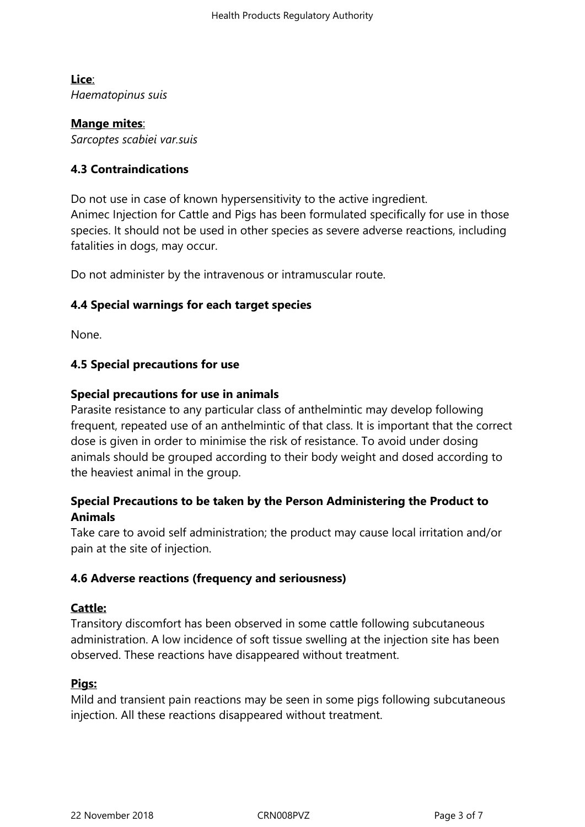**Lice**: *Haematopinus suis*

**Mange mites**: *Sarcoptes scabiei var.suis*

## **4.3 Contraindications**

Do not use in case of known hypersensitivity to the active ingredient. Animec Injection for Cattle and Pigs has been formulated specifically for use in those species. It should not be used in other species as severe adverse reactions, including fatalities in dogs, may occur.

Do not administer by the intravenous or intramuscular route.

## **4.4 Special warnings for each target species**

None.

#### **4.5 Special precautions for use**

#### **Special precautions for use in animals**

Parasite resistance to any particular class of anthelmintic may develop following frequent, repeated use of an anthelmintic of that class. It is important that the correct dose is given in order to minimise the risk of resistance. To avoid under dosing animals should be grouped according to their body weight and dosed according to the heaviest animal in the group.

# **Special Precautions to be taken by the Person Administering the Product to Animals**

Take care to avoid self administration; the product may cause local irritation and/or pain at the site of injection.

#### **4.6 Adverse reactions (frequency and seriousness)**

#### **Cattle:**

Transitory discomfort has been observed in some cattle following subcutaneous administration. A low incidence of soft tissue swelling at the injection site has been observed. These reactions have disappeared without treatment.

#### **Pigs:**

Mild and transient pain reactions may be seen in some pigs following subcutaneous injection. All these reactions disappeared without treatment.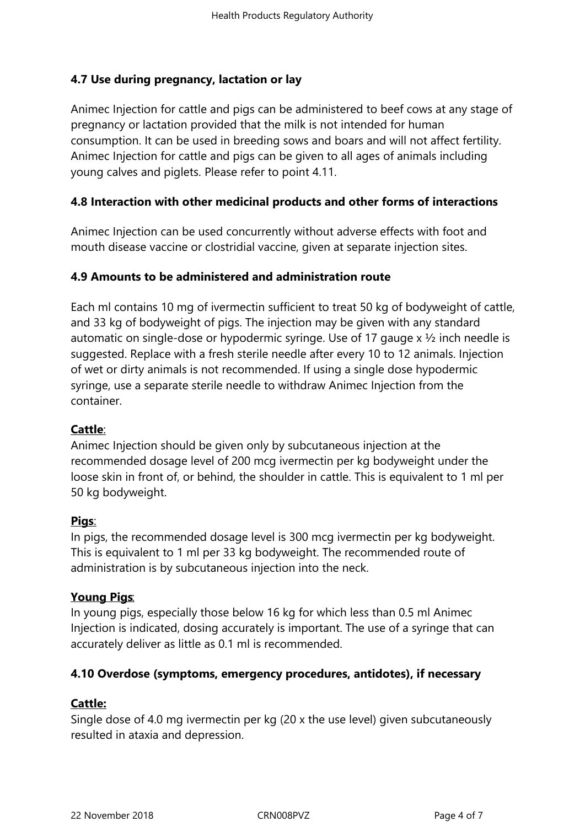# **4.7 Use during pregnancy, lactation or lay**

Animec Injection for cattle and pigs can be administered to beef cows at any stage of pregnancy or lactation provided that the milk is not intended for human consumption. It can be used in breeding sows and boars and will not affect fertility. Animec Injection for cattle and pigs can be given to all ages of animals including young calves and piglets. Please refer to point 4.11.

# **4.8 Interaction with other medicinal products and other forms of interactions**

Animec Injection can be used concurrently without adverse effects with foot and mouth disease vaccine or clostridial vaccine, given at separate injection sites.

#### **4.9 Amounts to be administered and administration route**

Each ml contains 10 mg of ivermectin sufficient to treat 50 kg of bodyweight of cattle, and 33 kg of bodyweight of pigs. The injection may be given with any standard automatic on single-dose or hypodermic syringe. Use of 17 gauge x ½ inch needle is suggested. Replace with a fresh sterile needle after every 10 to 12 animals. Injection of wet or dirty animals is not recommended. If using a single dose hypodermic syringe, use a separate sterile needle to withdraw Animec Injection from the container.

## **Cattle**:

Animec Injection should be given only by subcutaneous injection at the recommended dosage level of 200 mcg ivermectin per kg bodyweight under the loose skin in front of, or behind, the shoulder in cattle. This is equivalent to 1 ml per 50 kg bodyweight.

## **Pigs**:

In pigs, the recommended dosage level is 300 mcg ivermectin per kg bodyweight. This is equivalent to 1 ml per 33 kg bodyweight. The recommended route of administration is by subcutaneous injection into the neck.

## **Young Pigs**:

In young pigs, especially those below 16 kg for which less than 0.5 ml Animec Injection is indicated, dosing accurately is important. The use of a syringe that can accurately deliver as little as 0.1 ml is recommended.

## **4.10 Overdose (symptoms, emergency procedures, antidotes), if necessary**

## **Cattle:**

Single dose of 4.0 mg ivermectin per kg (20 x the use level) given subcutaneously resulted in ataxia and depression.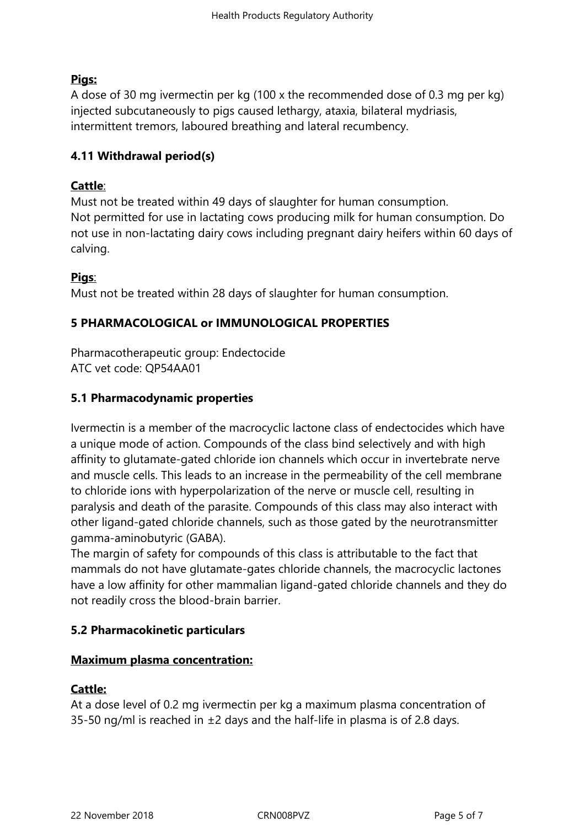# **Pigs:**

A dose of 30 mg ivermectin per kg (100 x the recommended dose of 0.3 mg per kg) injected subcutaneously to pigs caused lethargy, ataxia, bilateral mydriasis, intermittent tremors, laboured breathing and lateral recumbency.

# **4.11 Withdrawal period(s)**

# **Cattle**:

Must not be treated within 49 days of slaughter for human consumption. Not permitted for use in lactating cows producing milk for human consumption. Do not use in non-lactating dairy cows including pregnant dairy heifers within 60 days of calving.

# **Pigs**:

Must not be treated within 28 days of slaughter for human consumption.

# **5 PHARMACOLOGICAL or IMMUNOLOGICAL PROPERTIES**

Pharmacotherapeutic group: Endectocide ATC vet code: QP54AA01

## **5.1 Pharmacodynamic properties**

Ivermectin is a member of the macrocyclic lactone class of endectocides which have a unique mode of action. Compounds of the class bind selectively and with high affinity to glutamate-gated chloride ion channels which occur in invertebrate nerve and muscle cells. This leads to an increase in the permeability of the cell membrane to chloride ions with hyperpolarization of the nerve or muscle cell, resulting in paralysis and death of the parasite. Compounds of this class may also interact with other ligand-gated chloride channels, such as those gated by the neurotransmitter gamma-aminobutyric (GABA).

The margin of safety for compounds of this class is attributable to the fact that mammals do not have glutamate-gates chloride channels, the macrocyclic lactones have a low affinity for other mammalian ligand-gated chloride channels and they do not readily cross the blood-brain barrier.

## **5.2 Pharmacokinetic particulars**

## **Maximum plasma concentration:**

## **Cattle:**

At a dose level of 0.2 mg ivermectin per kg a maximum plasma concentration of 35-50 ng/ml is reached in  $\pm 2$  days and the half-life in plasma is of 2.8 days.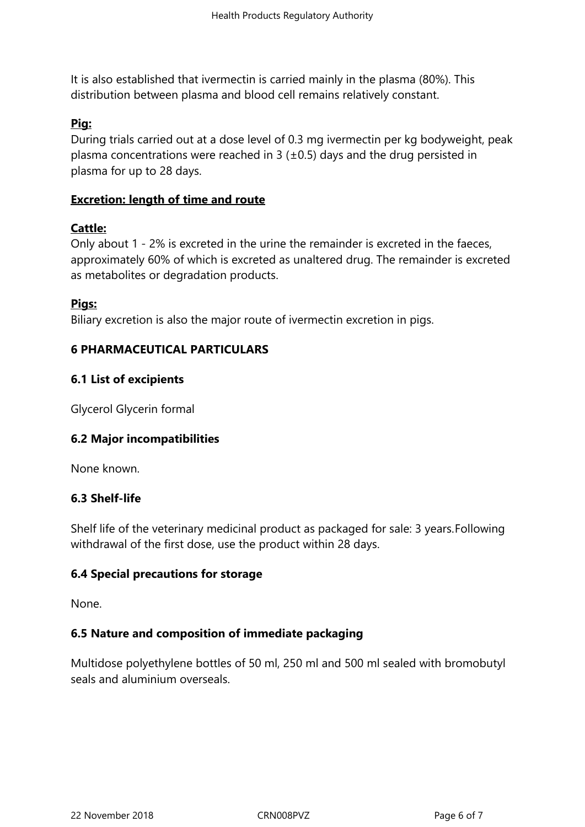It is also established that ivermectin is carried mainly in the plasma (80%). This distribution between plasma and blood cell remains relatively constant.

#### **Pig:**

During trials carried out at a dose level of 0.3 mg ivermectin per kg bodyweight, peak plasma concentrations were reached in 3 ( $\pm$ 0.5) days and the drug persisted in plasma for up to 28 days.

#### **Excretion: length of time and route**

#### **Cattle:**

Only about 1 - 2% is excreted in the urine the remainder is excreted in the faeces, approximately 60% of which is excreted as unaltered drug. The remainder is excreted as metabolites or degradation products.

#### **Pigs:**

Biliary excretion is also the major route of ivermectin excretion in pigs.

#### **6 PHARMACEUTICAL PARTICULARS**

#### **6.1 List of excipients**

Glycerol Glycerin formal

## **6.2 Major incompatibilities**

None known.

#### **6.3 Shelf-life**

Shelf life of the veterinary medicinal product as packaged for sale: 3 years.Following withdrawal of the first dose, use the product within 28 days.

#### **6.4 Special precautions for storage**

None.

#### **6.5 Nature and composition of immediate packaging**

Multidose polyethylene bottles of 50 ml, 250 ml and 500 ml sealed with bromobutyl seals and aluminium overseals.